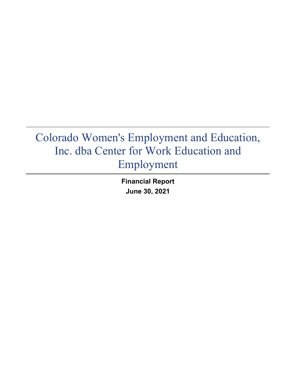**Financial Report June 30, 2021**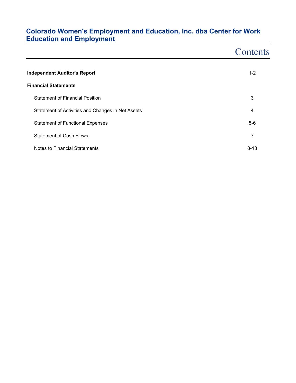|                                                   | Contents |
|---------------------------------------------------|----------|
| <b>Independent Auditor's Report</b>               | $1 - 2$  |
| <b>Financial Statements</b>                       |          |
| <b>Statement of Financial Position</b>            | 3        |
| Statement of Activities and Changes in Net Assets | 4        |
| <b>Statement of Functional Expenses</b>           | $5-6$    |
| <b>Statement of Cash Flows</b>                    | 7        |
| Notes to Financial Statements                     | $8 - 18$ |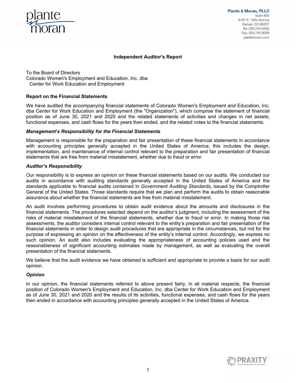

#### **Independent Auditor's Report**

To the Board of Directors Colorado Women's Employment and Education, Inc. dba Center for Work Education and Employment

#### **Report on the Financial Statements**

We have audited the accompanying financial statements of Colorado Women's Employment and Education, Inc. dba Center for Work Education and Employment (the "Organization"), which comprise the statement of financial position as of June 30, 2021 and 2020 and the related statements of activities and changes in net assets, functional expenses, and cash flows for the years then ended, and the related notes to the financial statements.

#### *Management's Responsibility for the Financial Statements*

Management is responsible for the preparation and fair presentation of these financial statements in accordance with accounting principles generally accepted in the United States of America; this includes the design, implementation, and maintenance of internal control relevant to the preparation and fair presentation of financial statements that are free from material misstatement, whether due to fraud or error.

#### *Auditor's Responsibility*

Our responsibility is to express an opinion on these financial statements based on our audits. We conducted our audits in accordance with auditing standards generally accepted in the United States of America and the standards applicable to financial audits contained in *Government Auditing Standards*, issued by the Comptroller General of the United States. Those standards require that we plan and perform the audits to obtain reasonable assurance about whether the financial statements are free from material misstatement.

An audit involves performing procedures to obtain audit evidence about the amounts and disclosures in the financial statements. The procedures selected depend on the auditor's judgment, including the assessment of the risks of material misstatement of the financial statements, whether due to fraud or error. In making those risk assessments, the auditor considers internal control relevant to the entity's preparation and fair presentation of the financial statements in order to design audit procedures that are appropriate in the circumstances, but not for the purpose of expressing an opinion on the effectiveness of the entity's internal control. Accordingly, we express no such opinion. An audit also includes evaluating the appropriateness of accounting policies used and the reasonableness of significant accounting estimates made by management, as well as evaluating the overall presentation of the financial statements.

We believe that the audit evidence we have obtained is sufficient and appropriate to provide a basis for our audit opinion.

#### *Opinion*

In our opinion, the financial statements referred to above present fairly, in all material respects, the financial position of Colorado Women's Employment and Education, Inc. dba Center for Work Education and Employment as of June 30, 2021 and 2020 and the results of its activities, functional expenses, and cash flows for the years then ended in accordance with accounting principles generally accepted in the United States of America.

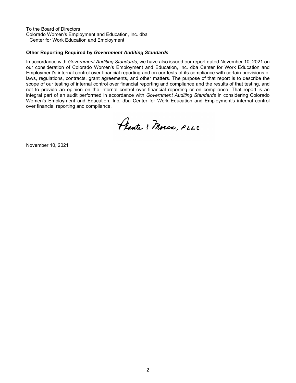To the Board of Directors Colorado Women's Employment and Education, Inc. dba Center for Work Education and Employment

### **Other Reporting Required by** *Government Auditing Standards*

In accordance with *Government Auditing Standards*, we have also issued our report dated November 10, 2021 on our consideration of Colorado Women's Employment and Education, Inc. dba Center for Work Education and Employment's internal control over financial reporting and on our tests of its compliance with certain provisions of laws, regulations, contracts, grant agreements, and other matters. The purpose of that report is to describe the scope of our testing of internal control over financial reporting and compliance and the results of that testing, and not to provide an opinion on the internal control over financial reporting or on compliance. That report is an integral part of an audit performed in accordance with *Government Auditing Standards* in considering Colorado Women's Employment and Education, Inc. dba Center for Work Education and Employment's internal control over financial reporting and compliance.

Plante & Moran, PLLC

November 10, 2021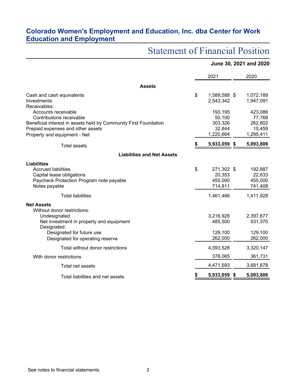|                                                                  |                    | June 30, 2021 and 2020 |
|------------------------------------------------------------------|--------------------|------------------------|
|                                                                  | 2021               | 2020                   |
| <b>Assets</b>                                                    |                    |                        |
| Cash and cash equivalents                                        | \$<br>1,589,588 \$ | 1,072,189              |
| Investments                                                      | 2,543,342          | 1,947,091              |
| Receivables:                                                     |                    |                        |
| Accounts receivable                                              | 193,195            | 423,086                |
| Contributions receivable                                         | 50,100             | 77,768                 |
| Beneficial interest in assets held by Community First Foundation | 303,326            | 262,802                |
| Prepaid expenses and other assets                                | 32,844             | 15,459                 |
| Property and equipment - Net                                     | 1,220,664          | 1,295,411              |
| <b>Total assets</b>                                              | 5,933,059 \$       | 5,093,806              |
| <b>Liabilities and Net Assets</b>                                |                    |                        |
| Liabilities                                                      |                    |                        |
| <b>Accrued liabilities</b>                                       | \$<br>271,302 \$   | 192,887                |
| Capital lease obligations                                        | 20,353             | 22,633                 |
| Paycheck Protection Program note payable                         | 455,000            | 455,000                |
| Notes payable                                                    | 714,811            | 741,408                |
| <b>Total liabilities</b>                                         | 1,461,466          | 1,411,928              |
| <b>Net Assets</b>                                                |                    |                        |
| Without donor restrictions:                                      |                    |                        |
| Undesignated                                                     | 3,216,928          | 2,397,677              |
| Net investment in property and equipment                         | 485,500            | 531,370                |
| Designated:                                                      |                    |                        |
| Designated for future use                                        | 129,100            | 129,100                |
| Designated for operating reserve                                 | 262,000            | 262,000                |
| Total without donor restrictions                                 | 4,093,528          | 3,320,147              |
| With donor restrictions                                          | 378,065            | 361,731                |
| Total net assets                                                 | 4,471,593          | 3,681,878              |
| Total liabilities and net assets                                 | 5,933,059          | \$<br>5,093,806        |

# Statement of Financial Position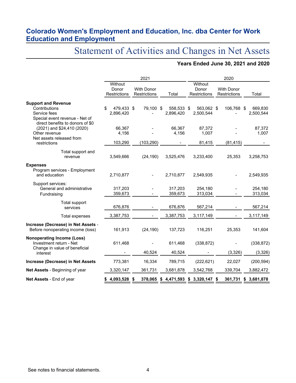# Statement of Activities and Changes in Net Assets

### **Years Ended June 30, 2021 and 2020**

|                                                                                                                                   |                                  | 2021                              |                         | 2020                                 |                                   |                      |  |  |  |
|-----------------------------------------------------------------------------------------------------------------------------------|----------------------------------|-----------------------------------|-------------------------|--------------------------------------|-----------------------------------|----------------------|--|--|--|
|                                                                                                                                   | Without<br>Donor<br>Restrictions | <b>With Donor</b><br>Restrictions | Total                   | Without<br>Donor<br>Restrictions     | <b>With Donor</b><br>Restrictions | Total                |  |  |  |
| <b>Support and Revenue</b><br>Contributions<br>Service fees<br>Special event revenue - Net of<br>direct benefits to donors of \$0 | 479,433 \$<br>\$<br>2,896,420    | 79,100 \$                         | 558,533 \$<br>2,896,420 | 563,062 \$<br>2,500,544              | 106,768 \$                        | 669,830<br>2,500,544 |  |  |  |
| $(2021)$ and \$24,410 $(2020)$<br>Other revenue                                                                                   | 66,367<br>4,156                  |                                   | 66.367<br>4,156         | 87,372<br>1,007                      |                                   | 87,372<br>1,007      |  |  |  |
| Net assets released from<br>restrictions                                                                                          | 103,290                          | (103, 290)                        |                         | 81,415                               | (81, 415)                         |                      |  |  |  |
| Total support and<br>revenue                                                                                                      | 3,549,666                        | (24, 190)                         | 3,525,476               | 3,233,400                            | 25,353                            | 3,258,753            |  |  |  |
| <b>Expenses</b><br>Program services - Employment<br>and education                                                                 | 2,710,877                        |                                   | 2,710,877               | 2,549,935                            |                                   | 2,549,935            |  |  |  |
| Support services:<br>General and administrative<br>Fundraising                                                                    | 317,203<br>359,673               |                                   | 317,203<br>359,673      | 254,180<br>313,034                   |                                   | 254,180<br>313,034   |  |  |  |
| Total support<br>services                                                                                                         | 676,876                          |                                   | 676,876                 | 567,214                              |                                   | 567,214              |  |  |  |
| Total expenses                                                                                                                    | 3,387,753                        |                                   | 3,387,753               | 3,117,149                            |                                   | 3,117,149            |  |  |  |
| Increase (Decrease) in Net Assets -<br>Before nonoperating income (loss)                                                          | 161,913                          | (24, 190)                         | 137,723                 | 116,251                              | 25,353                            | 141,604              |  |  |  |
| <b>Nonoperating Income (Loss)</b><br>Investment return - Net<br>Change in value of beneficial                                     | 611,468                          |                                   | 611,468                 | (338, 872)                           |                                   | (338, 872)           |  |  |  |
| interest                                                                                                                          |                                  | 40,524                            | 40,524                  |                                      | (3, 326)                          | (3, 326)             |  |  |  |
| Increase (Decrease) in Net Assets                                                                                                 | 773,381                          | 16,334                            | 789,715                 | (222, 621)                           | 22,027                            | (200, 594)           |  |  |  |
| Net Assets - Beginning of year                                                                                                    | 3,320,147                        | 361,731                           | 3,681,878               | 3,542,768                            | 339,704                           | 3,882,472            |  |  |  |
| Net Assets - End of year                                                                                                          | 4,093,528                        |                                   |                         | 378,065 \$ 4,471,593 \$ 3,320,147 \$ |                                   | 361,731 \$ 3,681,878 |  |  |  |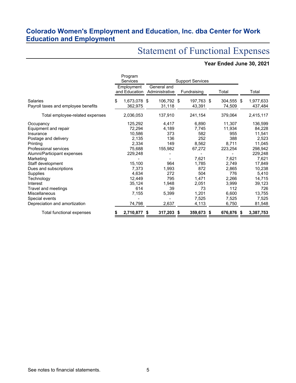# Statement of Functional Expenses

# **Year Ended June 30, 2021**

|                                                 |                             | Program<br>Services  | <b>Support Services</b>       |                      |             |                      |       |                      |  |                      |
|-------------------------------------------------|-----------------------------|----------------------|-------------------------------|----------------------|-------------|----------------------|-------|----------------------|--|----------------------|
|                                                 | Employment<br>and Education |                      | General and<br>Administrative |                      | Fundraising |                      | Total |                      |  | Total                |
| Salaries<br>Payroll taxes and employee benefits | \$                          | 1,673,078<br>362,975 | \$                            | 106,792 \$<br>31,118 |             | 197,763 \$<br>43,391 |       | 304,555 \$<br>74,509 |  | 1,977,633<br>437,484 |
| Total employee-related expenses                 |                             | 2,036,053            |                               | 137,910              |             | 241,154              |       | 379,064              |  | 2,415,117            |
| Occupancy                                       |                             | 125,292              |                               | 4,417                |             | 6,890                |       | 11,307               |  | 136,599              |
| Equipment and repair                            |                             | 72,294               |                               | 4,189                |             | 7,745                |       | 11,934               |  | 84,228               |
| Insurance                                       |                             | 10,586               |                               | 373                  |             | 582                  |       | 955                  |  | 11,541               |
| Postage and delivery                            |                             | 2,135                |                               | 136                  |             | 252                  |       | 388                  |  | 2,523                |
| Printing                                        |                             | 2,334                |                               | 149                  |             | 8,562                |       | 8,711                |  | 11,045               |
| <b>Professional services</b>                    |                             | 75,688               |                               | 155,982              |             | 67,272               |       | 223,254              |  | 298,942              |
| Alumni/Participant expenses                     |                             | 229,248              |                               |                      |             |                      |       |                      |  | 229,248              |
| Marketing                                       |                             |                      |                               |                      |             | 7,621                |       | 7,621                |  | 7,621                |
| Staff development                               |                             | 15,100               |                               | 964                  |             | 1,785                |       | 2,749                |  | 17,849               |
| Dues and subscriptions                          |                             | 7,373                |                               | 1,993                |             | 872                  |       | 2,865                |  | 10,238               |
| Supplies                                        |                             | 4,634                |                               | 272                  |             | 504                  |       | 776                  |  | 5,410                |
| Technology                                      |                             | 12,449               |                               | 795                  |             | 1,471                |       | 2,266                |  | 14,715               |
| Interest                                        |                             | 35,124               |                               | 1,948                |             | 2,051                |       | 3,999                |  | 39,123               |
| Travel and meetings                             |                             | 614                  |                               | 39                   |             | 73                   |       | 112                  |  | 726                  |
| <b>Miscellaneous</b>                            |                             | 7,155                |                               | 5,399                |             | 1,201                |       | 6,600                |  | 13,755               |
| Special events                                  |                             |                      |                               |                      |             | 7,525                |       | 7,525                |  | 7,525                |
| Depreciation and amortization                   |                             | 74,798               |                               | 2,637                |             | 4,113                |       | 6,750                |  | 81,548               |
| Total functional expenses                       |                             | 2,710,877            | S                             | 317,203 \$           |             | 359,673              | S     | 676,876 \$           |  | 3,387,753            |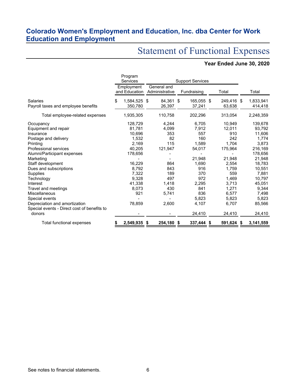# Statement of Functional Expenses

# **Year Ended June 30, 2020**

|                                                         | Program<br>Services |                             | <b>Support Services</b> |                               |   |                      |  |                       |   |                           |
|---------------------------------------------------------|---------------------|-----------------------------|-------------------------|-------------------------------|---|----------------------|--|-----------------------|---|---------------------------|
|                                                         |                     | Employment<br>and Education |                         | General and<br>Administrative |   | Fundraising          |  | Total                 |   | Total                     |
| Salaries<br>Payroll taxes and employee benefits         | \$                  | 1,584,525 \$<br>350,780     |                         | 84,361 \$<br>26,397           |   | 165,055 \$<br>37,241 |  | 249,416 \$<br>63,638  |   | 1,833,941<br>414,418      |
| Total employee-related expenses                         |                     | 1,935,305                   |                         | 110,758                       |   | 202,296              |  | 313,054               |   | 2,248,359                 |
| Occupancy<br>Equipment and repair                       |                     | 128,729<br>81,781           |                         | 4,244<br>4.099                |   | 6,705<br>7,912       |  | 10,949<br>12.011      |   | 139,678<br>93,792         |
| Insurance<br>Postage and delivery                       |                     | 10,696<br>1,532             |                         | 353<br>82                     |   | 557<br>160           |  | 910<br>242            |   | 11,606<br>1,774           |
| Printing<br><b>Professional services</b>                |                     | 2,169<br>40.205             |                         | 115<br>121,947                |   | 1,589<br>54,017      |  | 1,704<br>175,964      |   | 3,873<br>216,169          |
| Alumni/Participant expenses<br>Marketing                |                     | 178,656                     |                         | 864                           |   | 21,948               |  | 21,948                |   | 178,656<br>21,948         |
| Staff development<br>Dues and subscriptions<br>Supplies |                     | 16,229<br>8,792<br>7,322    |                         | 843<br>189                    |   | 1,690<br>916<br>370  |  | 2,554<br>1,759<br>559 |   | 18,783<br>10,551<br>7,881 |
| Technology<br>Interest                                  |                     | 9,328<br>41,338             |                         | 497<br>1.418                  |   | 972<br>2,295         |  | 1,469<br>3,713        |   | 10,797<br>45,051          |
| Travel and meetings<br><b>Miscellaneous</b>             |                     | 8,073<br>921                |                         | 430<br>5,741                  |   | 841<br>836           |  | 1,271<br>6,577        |   | 9,344<br>7,498            |
| Special events<br>Depreciation and amortization         |                     | 78,859                      |                         | 2,600                         |   | 5.823<br>4,107       |  | 5,823<br>6,707        |   | 5,823<br>85,566           |
| Special events - Direct cost of benefits to<br>donors   |                     |                             |                         |                               |   | 24,410               |  | 24,410                |   | 24,410                    |
| Total functional expenses                               |                     | 2,549,935                   | \$                      | 254,180                       | S | 337,444 \$           |  | 591,624               | S | 3,141,559                 |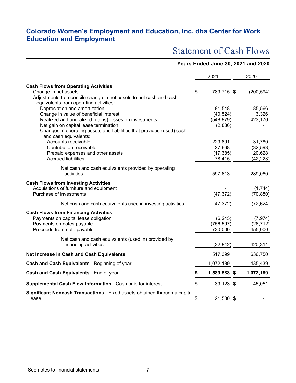# Statement of Cash Flows

|                                                                                                                   |    | Years Ended June 30, 2021 and 2020 |                      |
|-------------------------------------------------------------------------------------------------------------------|----|------------------------------------|----------------------|
|                                                                                                                   |    | 2021                               | 2020                 |
| <b>Cash Flows from Operating Activities</b>                                                                       |    |                                    |                      |
| Change in net assets                                                                                              | \$ | 789,715 \$                         | (200, 594)           |
| Adjustments to reconcile change in net assets to net cash and cash<br>equivalents from operating activities:      |    |                                    |                      |
| Depreciation and amortization                                                                                     |    | 81,548                             | 85,566               |
| Change in value of beneficial interest                                                                            |    | (40, 524)                          | 3,326                |
| Realized and unrealized (gains) losses on investments                                                             |    | (548, 879)                         | 423,170              |
| Net gain on capital lease termination                                                                             |    | (2,836)                            |                      |
| Changes in operating assets and liabilities that provided (used) cash                                             |    |                                    |                      |
| and cash equivalents:<br>Accounts receivable                                                                      |    | 229,891                            | 31,780               |
| Contribution receivable                                                                                           |    | 27,668                             | (32, 593)            |
| Prepaid expenses and other assets                                                                                 |    | (17, 385)                          | 20,628               |
| <b>Accrued liabilities</b>                                                                                        |    | 78,415                             | (42, 223)            |
| Net cash and cash equivalents provided by operating<br>activities                                                 |    | 597,613                            | 289,060              |
| <b>Cash Flows from Investing Activities</b><br>Acquisitions of furniture and equipment<br>Purchase of investments |    | (47, 372)                          | (1,744)<br>(70, 880) |
| Net cash and cash equivalents used in investing activities                                                        |    | (47, 372)                          | (72, 624)            |
| <b>Cash Flows from Financing Activities</b>                                                                       |    |                                    |                      |
| Payments on capital lease obligation                                                                              |    | (6, 245)                           | (7, 974)             |
| Payments on notes payable<br>Proceeds from note payable                                                           |    | (756, 597)<br>730,000              | (26, 712)<br>455,000 |
|                                                                                                                   |    |                                    |                      |
| Net cash and cash equivalents (used in) provided by                                                               |    |                                    |                      |
| financing activities                                                                                              |    | (32, 842)                          | 420,314              |
| Net Increase in Cash and Cash Equivalents                                                                         |    | 517,399                            | 636,750              |
| Cash and Cash Equivalents - Beginning of year                                                                     |    | 1,072,189                          | 435,439              |
| Cash and Cash Equivalents - End of year                                                                           | S  | 1,589,588 \$                       | 1,072,189            |
| Supplemental Cash Flow Information - Cash paid for interest                                                       | \$ | 39,123 \$                          | 45,051               |
| Significant Noncash Transactions - Fixed assets obtained through a capital<br>lease                               | \$ | 21,500 \$                          |                      |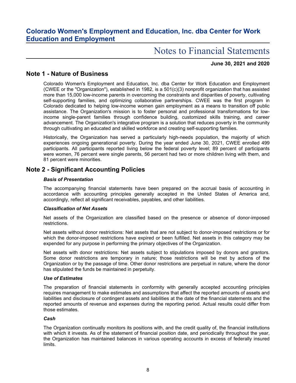# Notes to Financial Statements

### **June 30, 2021 and 2020**

### **Note 1 - Nature of Business**

Colorado Women's Employment and Education, Inc. dba Center for Work Education and Employment (CWEE or the "Organization"), established in 1982, is a 501(c)(3) nonprofit organization that has assisted more than 15,000 low-income parents in overcoming the constraints and disparities of poverty, cultivating self-supporting families, and optimizing collaborative partnerships. CWEE was the first program in Colorado dedicated to helping low-income women gain employment as a means to transition off public assistance. The Organization's mission is to foster personal and professional transformations for lowincome single-parent families through confidence building, customized skills training, and career advancement. The Organization's integrative program is a solution that reduces poverty in the community through cultivating an educated and skilled workforce and creating self-supporting families.

Historically, the Organization has served a particularly high-needs population, the majority of which experiences ongoing generational poverty. During the year ended June 30, 2021, CWEE enrolled 499 participants. All participants reported living below the federal poverty level; 89 percent of participants were women, 76 percent were single parents, 56 percent had two or more children living with them, and 81 percent were minorities.

### **Note 2 - Significant Accounting Policies**

#### *Basis of Presentation*

The accompanying financial statements have been prepared on the accrual basis of accounting in accordance with accounting principles generally accepted in the United States of America and, accordingly, reflect all significant receivables, payables, and other liabilities.

#### *Classification of Net Assets*

Net assets of the Organization are classified based on the presence or absence of donor-imposed restrictions.

Net assets without donor restrictions: Net assets that are not subject to donor-imposed restrictions or for which the donor-imposed restrictions have expired or been fulfilled. Net assets in this category may be expended for any purpose in performing the primary objectives of the Organization.

Net assets with donor restrictions: Net assets subject to stipulations imposed by donors and grantors. Some donor restrictions are temporary in nature; those restrictions will be met by actions of the Organization or by the passage of time. Other donor restrictions are perpetual in nature, where the donor has stipulated the funds be maintained in perpetuity.

#### *Use of Estimates*

The preparation of financial statements in conformity with generally accepted accounting principles requires management to make estimates and assumptions that affect the reported amounts of assets and liabilities and disclosure of contingent assets and liabilities at the date of the financial statements and the reported amounts of revenue and expenses during the reporting period. Actual results could differ from those estimates.

#### *Cash*

The Organization continually monitors its positions with, and the credit quality of, the financial institutions with which it invests. As of the statement of financial position date, and periodically throughout the year, the Organization has maintained balances in various operating accounts in excess of federally insured limits.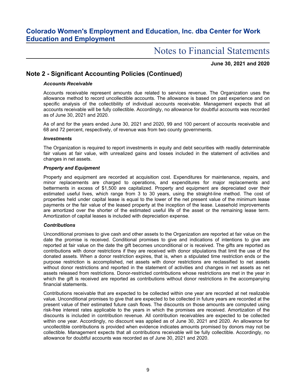# Notes to Financial Statements

**June 30, 2021 and 2020**

### **Note 2 - Significant Accounting Policies (Continued)**

### *Accounts Receivable*

Accounts receivable represent amounts due related to services revenue. The Organization uses the allowance method to record uncollectible accounts. The allowance is based on past experience and on specific analysis of the collectibility of individual accounts receivable. Management expects that all accounts receivable will be fully collectible. Accordingly, no allowance for doubtful accounts was recorded as of June 30, 2021 and 2020.

As of and for the years ended June 30, 2021 and 2020, 99 and 100 percent of accounts receivable and 68 and 72 percent, respectively, of revenue was from two county governments.

#### *Investments*

The Organization is required to report investments in equity and debt securities with readily determinable fair values at fair value, with unrealized gains and losses included in the statement of activities and changes in net assets.

#### *Property and Equipment*

Property and equipment are recorded at acquisition cost. Expenditures for maintenance, repairs, and minor replacements are charged to operations, and expenditures for major replacements and betterments in excess of \$1,500 are capitalized. Property and equipment are depreciated over their estimated useful lives, which range from 3 to 30 years, using the straight-line method. The cost of properties held under capital lease is equal to the lower of the net present value of the minimum lease payments or the fair value of the leased property at the inception of the lease. Leasehold improvements are amortized over the shorter of the estimated useful life of the asset or the remaining lease term. Amortization of capital leases is included with depreciation expense.

#### *Contributions*

Unconditional promises to give cash and other assets to the Organization are reported at fair value on the date the promise is received. Conditional promises to give and indications of intentions to give are reported at fair value on the date the gift becomes unconditional or is received. The gifts are reported as contributions with donor restrictions if they are received with donor stipulations that limit the use of the donated assets. When a donor restriction expires, that is, when a stipulated time restriction ends or the purpose restriction is accomplished, net assets with donor restrictions are reclassified to net assets without donor restrictions and reported in the statement of activities and changes in net assets as net assets released from restrictions. Donor-restricted contributions whose restrictions are met in the year in which the gift is received are reported as contributions without donor restrictions in the accompanying financial statements.

Contributions receivable that are expected to be collected within one year are recorded at net realizable value. Unconditional promises to give that are expected to be collected in future years are recorded at the present value of their estimated future cash flows. The discounts on those amounts are computed using risk-free interest rates applicable to the years in which the promises are received. Amortization of the discounts is included in contribution revenue. All contribution receivables are expected to be collected within one year. Accordingly, no discount was applied as of June 30, 2021 and 2020. An allowance for uncollectible contributions is provided when evidence indicates amounts promised by donors may not be collectible. Management expects that all contributions receivable will be fully collectible. Accordingly, no allowance for doubtful accounts was recorded as of June 30, 2021 and 2020.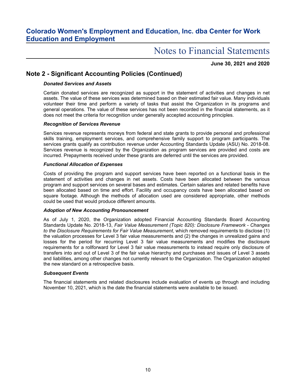# Notes to Financial Statements

**June 30, 2021 and 2020**

### **Note 2 - Significant Accounting Policies (Continued)**

### *Donated Services and Assets*

Certain donated services are recognized as support in the statement of activities and changes in net assets. The value of these services was determined based on their estimated fair value. Many individuals volunteer their time and perform a variety of tasks that assist the Organization in its programs and general operations. The value of these services has not been recorded in the financial statements, as it does not meet the criteria for recognition under generally accepted accounting principles.

#### *Recognition of Services Revenue*

Services revenue represents moneys from federal and state grants to provide personal and professional skills training, employment services, and comprehensive family support to program participants. The services grants qualify as contribution revenue under Accounting Standards Update (ASU) No. 2018-08. Services revenue is recognized by the Organization as program services are provided and costs are incurred. Prepayments received under these grants are deferred until the services are provided.

#### *Functional Allocation of Expenses*

Costs of providing the program and support services have been reported on a functional basis in the statement of activities and changes in net assets. Costs have been allocated between the various program and support services on several bases and estimates. Certain salaries and related benefits have been allocated based on time and effort. Facility and occupancy costs have been allocated based on square footage. Although the methods of allocation used are considered appropriate, other methods could be used that would produce different amounts.

#### *Adoption of New Accounting Pronouncement*

As of July 1, 2020, the Organization adopted Financial Accounting Standards Board Accounting Standards Update No. 2018-13, *Fair Value Measurement (Topic 820): Disclosure Framework - Changes to the Disclosure Requirements for Fair Value Measurement*, which removed requirements to disclose (1) the valuation processes for Level 3 fair value measurements and (2) the changes in unrealized gains and losses for the period for recurring Level 3 fair value measurements and modifies the disclosure requirements for a rollforward for Level 3 fair value measurements to instead require only disclosure of transfers into and out of Level 3 of the fair value hierarchy and purchases and issues of Level 3 assets and liabilities, among other changes not currently relevant to the Organization. The Organization adopted the new standard on a retrospective basis.

#### *Subsequent Events*

The financial statements and related disclosures include evaluation of events up through and including November 10, 2021, which is the date the financial statements were available to be issued.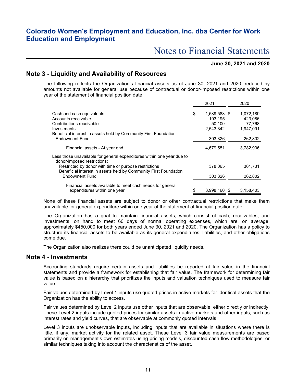# Notes to Financial Statements

### **June 30, 2021 and 2020**

### **Note 3 - Liquidity and Availability of Resources**

The following reflects the Organization's financial assets as of June 30, 2021 and 2020, reduced by amounts not available for general use because of contractual or donor-imposed restrictions within one year of the statement of financial position date:

|                                                                                                                           | 2021               | 2020      |
|---------------------------------------------------------------------------------------------------------------------------|--------------------|-----------|
| Cash and cash equivalents                                                                                                 | \$<br>1,589,588 \$ | 1,072,189 |
| Accounts receivable                                                                                                       | 193,195            | 423,086   |
| Contributions receivable                                                                                                  | 50.100             | 77.768    |
| Investments                                                                                                               | 2,543,342          | 1.947.091 |
| Beneficial interest in assets held by Community First Foundation                                                          |                    |           |
| Endowment Fund                                                                                                            | 303,326            | 262,802   |
| Financial assets - At year end                                                                                            | 4,679,551          | 3,782,936 |
| Less those unavailable for general expenditures within one year due to<br>donor-imposed restrictions:                     |                    |           |
| Restricted by donor with time or purpose restrictions<br>Beneficial interest in assets held by Community First Foundation | 378.065            | 361,731   |
| <b>Endowment Fund</b>                                                                                                     | 303,326            | 262,802   |
| Financial assets available to meet cash needs for general                                                                 |                    |           |
| expenditures within one year                                                                                              | \$<br>3,998,160 \$ | 3,158,403 |

None of these financial assets are subject to donor or other contractual restrictions that make them unavailable for general expenditure within one year of the statement of financial position date.

The Organization has a goal to maintain financial assets, which consist of cash, receivables, and investments, on hand to meet 60 days of normal operating expenses, which are, on average, approximately \$450,000 for both years ended June 30, 2021 and 2020. The Organization has a policy to structure its financial assets to be available as its general expenditures, liabilities, and other obligations come due.

The Organization also realizes there could be unanticipated liquidity needs.

### **Note 4 - Investments**

Accounting standards require certain assets and liabilities be reported at fair value in the financial statements and provide a framework for establishing that fair value. The framework for determining fair value is based on a hierarchy that prioritizes the inputs and valuation techniques used to measure fair value.

Fair values determined by Level 1 inputs use quoted prices in active markets for identical assets that the Organization has the ability to access.

Fair values determined by Level 2 inputs use other inputs that are observable, either directly or indirectly. These Level 2 inputs include quoted prices for similar assets in active markets and other inputs, such as interest rates and yield curves, that are observable at commonly quoted intervals.

Level 3 inputs are unobservable inputs, including inputs that are available in situations where there is little, if any, market activity for the related asset. These Level 3 fair value measurements are based primarily on management's own estimates using pricing models, discounted cash flow methodologies, or similar techniques taking into account the characteristics of the asset.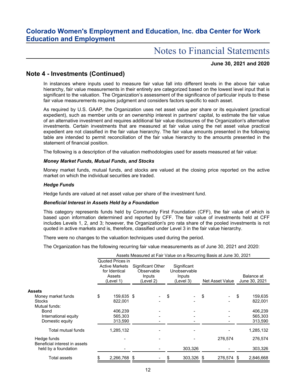# Notes to Financial Statements

### **June 30, 2021 and 2020**

### **Note 4 - Investments (Continued)**

In instances where inputs used to measure fair value fall into different levels in the above fair value hierarchy, fair value measurements in their entirety are categorized based on the lowest level input that is significant to the valuation. The Organization's assessment of the significance of particular inputs to these fair value measurements requires judgment and considers factors specific to each asset.

As required by U.S. GAAP, the Organization uses net asset value per share or its equivalent (practical expedient), such as member units or an ownership interest in partners' capital, to estimate the fair value of an alternative investment and requires additional fair value disclosures of the Organization's alternative investments. Certain investments that are measured at fair value using the net asset value practical expedient are not classified in the fair value hierarchy. The fair value amounts presented in the following table are intended to permit reconciliation of the fair value hierarchy to the amounts presented in the statement of financial position.

The following is a description of the valuation methodologies used for assets measured at fair value:

#### *Money Market Funds, Mutual Funds, and Stocks*

Money market funds, mutual funds, and stocks are valued at the closing price reported on the active market on which the individual securities are traded.

#### *Hedge Funds*

Hedge funds are valued at net asset value per share of the investment fund.

#### *Beneficial Interest in Assets Held by a Foundation*

This category represents funds held by Community First Foundation (CFF), the fair value of which is based upon information determined and reported by CFF. The fair value of investments held at CFF includes Levels 1, 2, and 3; however, the Organization's pro rata share of the pooled investments is not quoted in active markets and is, therefore, classified under Level 3 in the fair value hierarchy.

There were no changes to the valuation techniques used during the period.

The Organization has the following recurring fair value measurements as of June 30, 2021 and 2020:

|                                              |                                                                                   |                                                               | Assets Measured at Fair Value on a Recurring Basis at June 30, 2021 |                 |     |                             |
|----------------------------------------------|-----------------------------------------------------------------------------------|---------------------------------------------------------------|---------------------------------------------------------------------|-----------------|-----|-----------------------------|
|                                              | Quoted Prices in<br><b>Active Markets</b><br>for Identical<br>Assets<br>(Level 1) | <b>Significant Other</b><br>Observable<br>Inputs<br>(Level 2) | Significant<br>Unobservable<br>Inputs<br>(Level 3)                  | Net Asset Value |     | Balance at<br>June 30, 2021 |
| <b>Assets</b>                                |                                                                                   |                                                               |                                                                     |                 |     |                             |
| Money market funds                           | \$<br>159,635 \$                                                                  |                                                               | \$                                                                  | \$              | \$  | 159,635                     |
| <b>Stocks</b>                                | 822,001                                                                           |                                                               |                                                                     |                 |     | 822,001                     |
| Mutual funds:                                |                                                                                   |                                                               |                                                                     |                 |     |                             |
| Bond                                         | 406,239                                                                           |                                                               |                                                                     |                 |     | 406,239                     |
| International equity                         | 565.303                                                                           |                                                               |                                                                     |                 |     | 565,303                     |
| Domestic equity                              | 313,590                                                                           |                                                               |                                                                     |                 |     | 313,590                     |
| Total mutual funds                           | 1,285,132                                                                         |                                                               |                                                                     |                 |     | 1,285,132                   |
| Hedge funds<br>Beneficial interest in assets |                                                                                   |                                                               |                                                                     | 276,574         |     | 276,574                     |
| held by a foundation                         |                                                                                   |                                                               | 303,326                                                             |                 |     | 303,326                     |
| Total assets                                 | 2,266,768 \$                                                                      |                                                               | 303,326 \$                                                          | 276,574         | -SS | 2,846,668                   |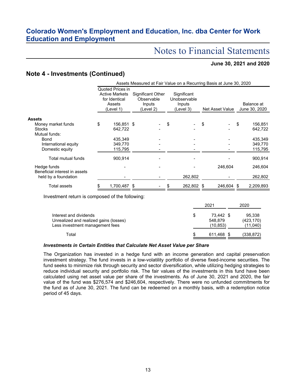# Notes to Financial Statements

### **June 30, 2021 and 2020**

### **Note 4 - Investments (Continued)**

|                                              | Assets Measured at Fair Value on a Recurring Basis at June 30, 2020 |                                                                                   |  |                                                        |    |                                                    |    |                 |    |                             |
|----------------------------------------------|---------------------------------------------------------------------|-----------------------------------------------------------------------------------|--|--------------------------------------------------------|----|----------------------------------------------------|----|-----------------|----|-----------------------------|
|                                              |                                                                     | Quoted Prices in<br><b>Active Markets</b><br>for Identical<br>Assets<br>(Level 1) |  | Significant Other<br>Observable<br>Inputs<br>(Level 2) |    | Significant<br>Unobservable<br>Inputs<br>(Level 3) |    | Net Asset Value |    | Balance at<br>June 30, 2020 |
| <b>Assets</b>                                |                                                                     |                                                                                   |  |                                                        |    |                                                    |    |                 |    |                             |
| Money market funds                           | \$                                                                  | 156,851 \$                                                                        |  |                                                        | \$ |                                                    | \$ |                 | \$ | 156,851                     |
| <b>Stocks</b>                                |                                                                     | 642,722                                                                           |  |                                                        |    |                                                    |    |                 |    | 642,722                     |
| Mutual funds:                                |                                                                     |                                                                                   |  |                                                        |    |                                                    |    |                 |    |                             |
| <b>Bond</b>                                  |                                                                     | 435,349                                                                           |  |                                                        |    |                                                    |    |                 |    | 435,349                     |
| International equity                         |                                                                     | 349,770                                                                           |  |                                                        |    |                                                    |    |                 |    | 349,770                     |
| Domestic equity                              |                                                                     | 115,795                                                                           |  |                                                        |    |                                                    |    |                 |    | 115,795                     |
| Total mutual funds                           |                                                                     | 900.914                                                                           |  |                                                        |    |                                                    |    |                 |    | 900,914                     |
| Hedge funds<br>Beneficial interest in assets |                                                                     |                                                                                   |  |                                                        |    |                                                    |    | 246,604         |    | 246,604                     |
| held by a foundation                         |                                                                     |                                                                                   |  |                                                        |    | 262,802                                            |    |                 |    | 262,802                     |
| Total assets                                 |                                                                     | 1,700,487 \$                                                                      |  |                                                        |    | 262,802                                            | \$ | 246.604         | -S | 2,209,893                   |

Investment return is composed of the following:

|                                                                                                     |   | 2021                              | 2020                             |
|-----------------------------------------------------------------------------------------------------|---|-----------------------------------|----------------------------------|
| Interest and dividends<br>Unrealized and realized gains (losses)<br>Less investment management fees | S | 73.442 \$<br>548,879<br>(10, 853) | 95,338<br>(423, 170)<br>(11,040) |
| Total                                                                                               | S | 611,468 \$                        | (338,872)                        |

#### *Investments in Certain Entities that Calculate Net Asset Value per Share*

The Organization has invested in a hedge fund with an income generation and capital preservation investment strategy. The fund invests in a low-volatility portfolio of diverse fixed-income securities. The fund seeks to minimize risk through security and sector diversification, while utilizing hedging strategies to reduce individual security and portfolio risk. The fair values of the investments in this fund have been calculated using net asset value per share of the investments. As of June 30, 2021 and 2020, the fair value of the fund was \$276,574 and \$246,604, respectively. There were no unfunded commitments for the fund as of June 30, 2021. The fund can be redeemed on a monthly basis, with a redemption notice period of 45 days.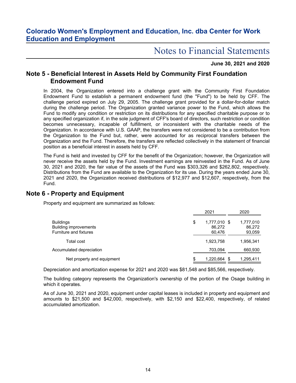# Notes to Financial Statements

### **June 30, 2021 and 2020**

### **Note 5 - Beneficial Interest in Assets Held by Community First Foundation Endowment Fund**

In 2004, the Organization entered into a challenge grant with the Community First Foundation Endowment Fund to establish a permanent endowment fund (the "Fund") to be held by CFF. The challenge period expired on July 29, 2005. The challenge grant provided for a dollar-for-dollar match during the challenge period. The Organization granted variance power to the Fund, which allows the Fund to modify any condition or restriction on its distributions for any specified charitable purpose or to any specified organization if, in the sole judgment of CFF's board of directors, such restriction or condition becomes unnecessary, incapable of fulfillment, or inconsistent with the charitable needs of the Organization. In accordance with U.S. GAAP, the transfers were not considered to be a contribution from the Organization to the Fund but, rather, were accounted for as reciprocal transfers between the Organization and the Fund. Therefore, the transfers are reflected collectively in the statement of financial position as a beneficial interest in assets held by CFF.

The Fund is held and invested by CFF for the benefit of the Organization; however, the Organization will never receive the assets held by the Fund. Investment earnings are reinvested in the Fund. As of June 30, 2021 and 2020, the fair value of the assets of the Fund was \$303,326 and \$262,802, respectively. Distributions from the Fund are available to the Organization for its use. During the years ended June 30, 2021 and 2020, the Organization received distributions of \$12,977 and \$12,607, respectively, from the Fund.

### **Note 6 - Property and Equipment**

Property and equipment are summarized as follows:

|                                                                                   | 2021                                   | 2020                          |
|-----------------------------------------------------------------------------------|----------------------------------------|-------------------------------|
| <b>Buildings</b><br><b>Building improvements</b><br><b>Furniture and fixtures</b> | \$<br>1,777,010 \$<br>86,272<br>60,476 | 1,777,010<br>86,272<br>93,059 |
| Total cost                                                                        | 1,923,758                              | 1,956,341                     |
| Accumulated depreciation                                                          | 703.094                                | 660,930                       |
| Net property and equipment                                                        | \$<br>1,220,664 \$                     | 1,295,411                     |

Depreciation and amortization expense for 2021 and 2020 was \$81,548 and \$85,566, respectively.

The building category represents the Organization's ownership of the portion of the Osage building in which it operates.

As of June 30, 2021 and 2020, equipment under capital leases is included in property and equipment and amounts to \$21,500 and \$42,000, respectively, with \$2,150 and \$22,400, respectively, of related accumulated amortization.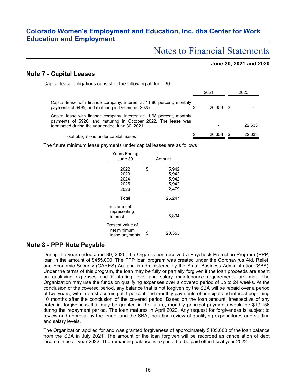# Notes to Financial Statements

### **June 30, 2021 and 2020**

### **Note 7 - Capital Leases**

Capital lease obligations consist of the following at June 30:

|                                                                                                                                                                                            | 2021        | 2020   |
|--------------------------------------------------------------------------------------------------------------------------------------------------------------------------------------------|-------------|--------|
| Capital lease with finance company, interest at 11.86 percent, monthly<br>payments of \$495, and maturing in December 2025                                                                 | $20.353$ \$ |        |
| Capital lease with finance company, interest at 11.68 percent, monthly<br>payments of \$928, and maturing in October 2022. The lease was<br>terminated during the year ended June 30, 2021 |             | 22,633 |
| Total obligations under capital leases                                                                                                                                                     | 20,353      | 22,633 |

The future minimum lease payments under capital leases are as follows:

| <b>Years Ending</b><br>June 30                    | Amount |                                           |  |  |  |
|---------------------------------------------------|--------|-------------------------------------------|--|--|--|
| 2022<br>2023<br>2024<br>2025<br>2026              | \$     | 5.942<br>5.942<br>5,942<br>5,942<br>2,479 |  |  |  |
| Total                                             |        | 26.247                                    |  |  |  |
| Less amount<br>representing<br>interest           |        | 5,894                                     |  |  |  |
| Present value of<br>net minimum<br>lease payments |        | 20,353                                    |  |  |  |

### **Note 8 - PPP Note Payable**

During the year ended June 30, 2020, the Organization received a Paycheck Protection Program (PPP) loan in the amount of \$455,000. The PPP loan program was created under the Coronavirus Aid, Relief, and Economic Security (CARES) Act and is administered by the Small Business Administration (SBA). Under the terms of this program, the loan may be fully or partially forgiven if the loan proceeds are spent on qualifying expenses and if staffing level and salary maintenance requirements are met. The Organization may use the funds on qualifying expenses over a covered period of up to 24 weeks. At the conclusion of the covered period, any balance that is not forgiven by the SBA will be repaid over a period of two years, with interest accruing at 1 percent and monthly payments of principal and interest beginning 10 months after the conclusion of the covered period. Based on the loan amount, irrespective of any potential forgiveness that may be granted in the future, monthly principal payments would be \$19,156 during the repayment period. The loan matures in April 2022. Any request for forgiveness is subject to review and approval by the lender and the SBA, including review of qualifying expenditures and staffing and salary levels.

The Organization applied for and was granted forgiveness of approximately \$405,000 of the loan balance from the SBA in July 2021. The amount of the loan forgiven will be recorded as cancellation of debt income in fiscal year 2022. The remaining balance is expected to be paid off in fiscal year 2022.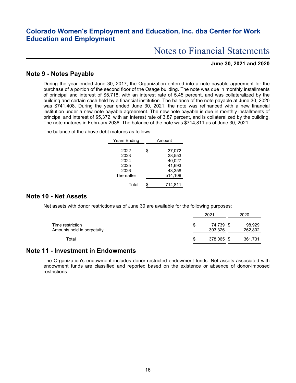# Notes to Financial Statements

### **June 30, 2021 and 2020**

### **Note 9 - Notes Payable**

During the year ended June 30, 2017, the Organization entered into a note payable agreement for the purchase of a portion of the second floor of the Osage building. The note was due in monthly installments of principal and interest of \$5,718, with an interest rate of 5.45 percent, and was collateralized by the building and certain cash held by a financial institution. The balance of the note payable at June 30, 2020 was \$741,408. During the year ended June 30, 2021, the note was refinanced with a new financial institution under a new note payable agreement. The new note payable is due in monthly installments of principal and interest of \$5,372, with an interest rate of 3.87 percent, and is collateralized by the building. The note matures in February 2036. The balance of the note was \$714,811 as of June 30, 2021.

The balance of the above debt matures as follows:

| <b>Years Ending</b> | Amount       |  |  |  |  |
|---------------------|--------------|--|--|--|--|
|                     |              |  |  |  |  |
| 2022                | \$<br>37,072 |  |  |  |  |
| 2023                | 38,553       |  |  |  |  |
| 2024                | 40,027       |  |  |  |  |
| 2025                | 41.693       |  |  |  |  |
| 2026                | 43.358       |  |  |  |  |
| Thereafter          | 514,108      |  |  |  |  |
| Total               | \$           |  |  |  |  |
|                     | 714.811      |  |  |  |  |

### **Note 10 - Net Assets**

Net assets with donor restrictions as of June 30 are available for the following purposes:

|                                                | 2021 |                   |      | 2020              |  |  |
|------------------------------------------------|------|-------------------|------|-------------------|--|--|
| Time restriction<br>Amounts held in perpetuity | \$   | 74.739<br>303,326 | - \$ | 98,929<br>262,802 |  |  |
| Total                                          | \$   | 378,065 \$        |      | 361,731           |  |  |

### **Note 11 - Investment in Endowments**

The Organization's endowment includes donor-restricted endowment funds. Net assets associated with endowment funds are classified and reported based on the existence or absence of donor-imposed restrictions.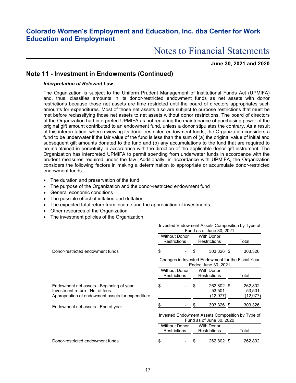# Notes to Financial Statements

### **June 30, 2021 and 2020**

### **Note 11 - Investment in Endowments (Continued)**

### *Interpretation of Relevant Law*

The Organization is subject to the Uniform Prudent Management of Institutional Funds Act (UPMIFA) and, thus, classifies amounts in its donor-restricted endowment funds as net assets with donor restrictions because those net assets are time restricted until the board of directors appropriates such amounts for expenditures. Most of those net assets also are subject to purpose restrictions that must be met before reclassifying those net assets to net assets without donor restrictions. The board of directors of the Organization had interpreted UPMIFA as not requiring the maintenance of purchasing power of the original gift amount contributed to an endowment fund, unless a donor stipulates the contrary. As a result of this interpretation, when reviewing its donor-restricted endowment funds, the Organization considers a fund to be underwater if the fair value of the fund is less than the sum of (a) the original value of initial and subsequent gift amounts donated to the fund and (b) any accumulations to the fund that are required to be maintained in perpetuity in accordance with the direction of the applicable donor gift instrument. The Organization has interpreted UPMIFA to permit spending from underwater funds in accordance with the prudent measures required under the law. Additionally, in accordance with UPMIFA, the Organization considers the following factors in making a determination to appropriate or accumulate donor-restricted endowment funds:

- The duration and preservation of the fund
- The purpose of the Organization and the donor-restricted endowment fund
- General economic conditions
- The possible effect of inflation and deflation
- The expected total return from income and the appreciation of investments
- Other resources of the Organization
- The investment policies of the Organization

|                                                                                                                                  | Invested Endowment Assets Composition by Type of<br>Fund as of June 30, 2021 |  |                                          |                                   |       |                               |  |
|----------------------------------------------------------------------------------------------------------------------------------|------------------------------------------------------------------------------|--|------------------------------------------|-----------------------------------|-------|-------------------------------|--|
|                                                                                                                                  | <b>Without Donor</b><br><b>Restrictions</b>                                  |  | <b>With Donor</b><br><b>Restrictions</b> |                                   | Total |                               |  |
| Donor-restricted endowment funds                                                                                                 | \$                                                                           |  | \$                                       | 303,326 \$                        |       | 303,326                       |  |
|                                                                                                                                  | Changes in Invested Endowment for the Fiscal Year<br>Ended June 30, 2021     |  |                                          |                                   |       |                               |  |
|                                                                                                                                  | <b>Without Donor</b><br><b>Restrictions</b>                                  |  |                                          | <b>With Donor</b><br>Restrictions | Total |                               |  |
| Endowment net assets - Beginning of year<br>Investment return - Net of fees<br>Appropriation of endowment assets for expenditure | \$                                                                           |  | \$                                       | 262,802 \$<br>53,501<br>(12,977)  |       | 262,802<br>53,501<br>(12,977) |  |
| Endowment net assets - End of year                                                                                               |                                                                              |  |                                          | 303,326 \$                        |       | 303,326                       |  |
|                                                                                                                                  | Invested Endowment Assets Composition by Type of<br>Fund as of June 30, 2020 |  |                                          |                                   |       |                               |  |
|                                                                                                                                  | <b>Without Donor</b><br><b>Restrictions</b>                                  |  | <b>With Donor</b><br><b>Restrictions</b> |                                   | Total |                               |  |
| Donor-restricted endowment funds                                                                                                 | \$                                                                           |  |                                          | 262,802 \$                        |       | 262,802                       |  |